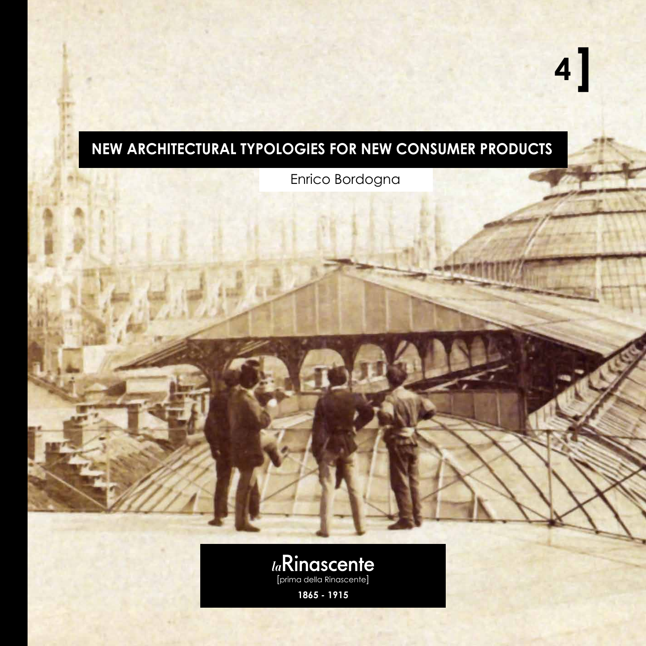## **New architectural typologies for new consumer products**

Enrico Bordogna

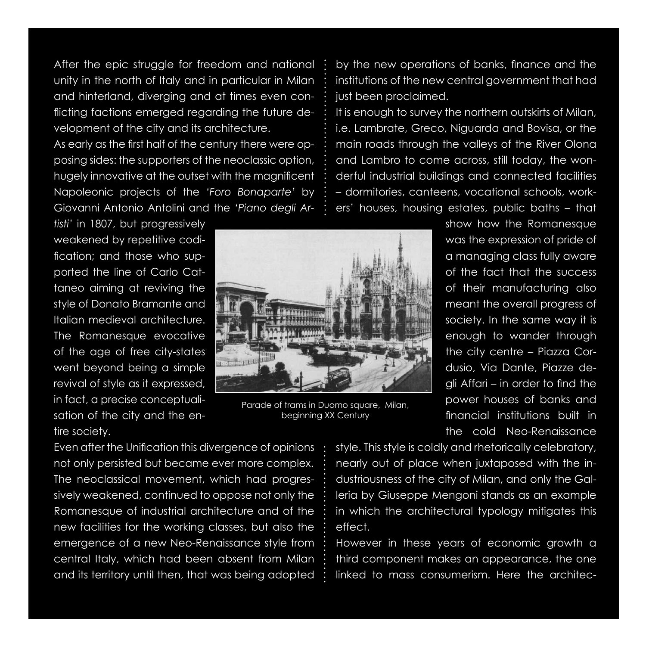After the epic struggle for freedom and national unity in the north of Italy and in particular in Milan and hinterland, diverging and at times even conflicting factions emerged regarding the future development of the city and its architecture.

As early as the first half of the century there were opposing sides: the supporters of the neoclassic option, hugely innovative at the outset with the magnificent Napoleonic projects of the *'Foro Bonaparte'* by Giovanni Antonio Antolini and the *'Piano degli Ar-*

*tisti'* in 1807, but progressively weakened by repetitive codification; and those who supported the line of Carlo Cattaneo aiming at reviving the style of Donato Bramante and Italian medieval architecture. The Romanesque evocative of the age of free city-states went beyond being a simple revival of style as it expressed, in fact, a precise conceptualisation of the city and the entire society.



Parade of trams in Duomo square, Milan, beginning XX Century

by the new operations of banks, finance and the institutions of the new central government that had just been proclaimed.

It is enough to survey the northern outskirts of Milan, i.e. Lambrate, Greco, Niguarda and Bovisa, or the main roads through the valleys of the River Olona and Lambro to come across, still today, the wonderful industrial buildings and connected facilities – dormitories, canteens, vocational schools, workers' houses, housing estates, public baths – that

> show how the Romanesque was the expression of pride of a managing class fully aware of the fact that the success of their manufacturing also meant the overall progress of society. In the same way it is enough to wander through the city centre – Piazza Cordusio, Via Dante, Piazze degli Affari – in order to find the power houses of banks and financial institutions built in the cold Neo-Renaissance

Even after the Unification this divergence of opinions not only persisted but became ever more complex. The neoclassical movement, which had progressively weakened, continued to oppose not only the Romanesque of industrial architecture and of the new facilities for the working classes, but also the emergence of a new Neo-Renaissance style from central Italy, which had been absent from Milan and its territory until then, that was being adopted

style. This style is coldly and rhetorically celebratory, nearly out of place when juxtaposed with the industriousness of the city of Milan, and only the Galleria by Giuseppe Mengoni stands as an example in which the architectural typology mitigates this effect.

However in these years of economic growth a third component makes an appearance, the one linked to mass consumerism. Here the architec-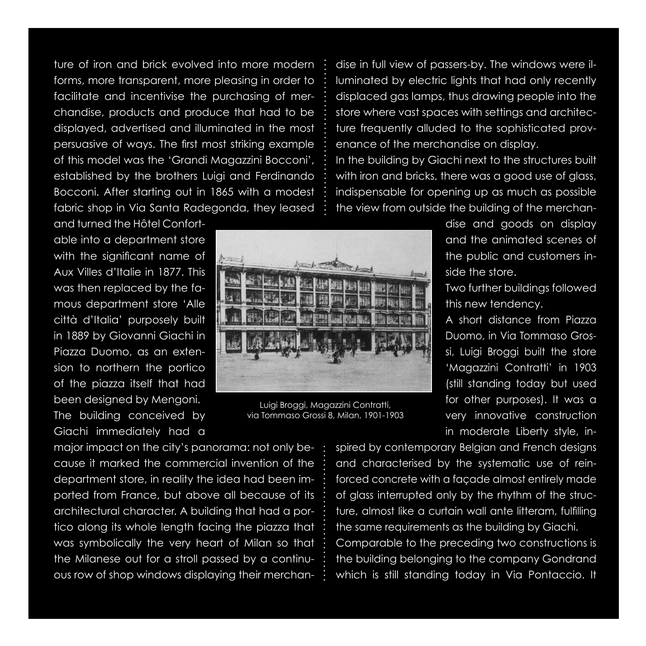ture of iron and brick evolved into more modern forms, more transparent, more pleasing in order to facilitate and incentivise the purchasing of merchandise, products and produce that had to be displayed, advertised and illuminated in the most persuasive of ways. The first most striking example of this model was the 'Grandi Magazzini Bocconi', established by the brothers Luigi and Ferdinando Bocconi. After starting out in 1865 with a modest fabric shop in Via Santa Radegonda, they leased

and turned the Hôtel Confortable into a department store with the significant name of Aux Villes d'Italie in 1877. This was then replaced by the famous department store 'Alle città d'Italia' purposely built in 1889 by Giovanni Giachi in Piazza Duomo, as an extension to northern the portico of the piazza itself that had been designed by Mengoni. The building conceived by Giachi immediately had a

major impact on the city's panorama: not only because it marked the commercial invention of the department store, in reality the idea had been imported from France, but above all because of its architectural character. A building that had a portico along its whole length facing the piazza that was symbolically the very heart of Milan so that the Milanese out for a stroll passed by a continuous row of shop windows displaying their merchan-

dise in full view of passers-by. The windows were illuminated by electric lights that had only recently displaced gas lamps, thus drawing people into the store where vast spaces with settings and architecture frequently alluded to the sophisticated provenance of the merchandise on display. In the building by Giachi next to the structures built with iron and bricks, there was a good use of glass, indispensable for opening up as much as possible the view from outside the building of the merchan-

> dise and goods on display and the animated scenes of the public and customers inside the store.

Two further buildings followed this new tendency.

A short distance from Piazza Duomo, in Via Tommaso Grossi, Luigi Broggi built the store 'Magazzini Contratti' in 1903 (still standing today but used for other purposes). It was a very innovative construction in moderate Liberty style, in-

spired by contemporary Belgian and French designs and characterised by the systematic use of reinforced concrete with a façade almost entirely made of glass interrupted only by the rhythm of the structure, almost like a curtain wall ante litteram, fulfilling the same requirements as the building by Giachi. Comparable to the preceding two constructions is

the building belonging to the company Gondrand which is still standing today in Via Pontaccio. It



Luigi Broggi, Magazzini Contratti, via Tommaso Grossi 8, Milan, 1901-1903